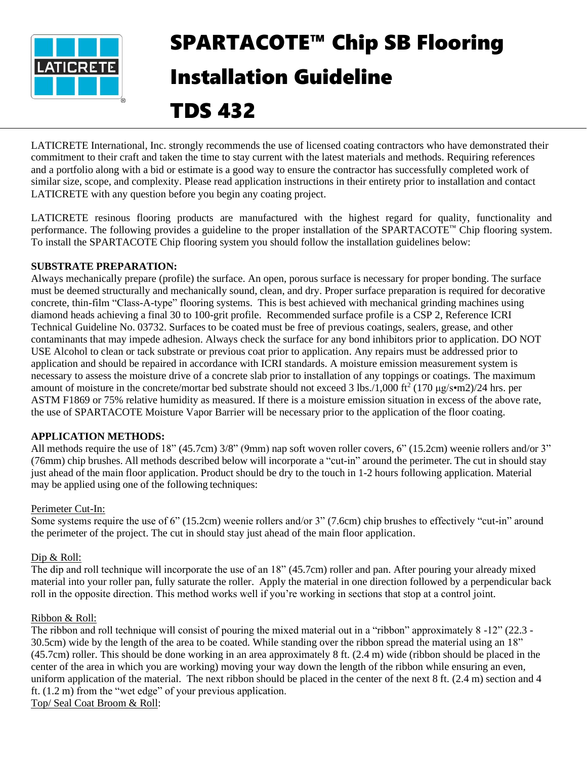

# SPARTACOTE™ Chip SB Flooring Installation Guideline

# TDS 432

LATICRETE International, Inc. strongly recommends the use of licensed coating contractors who have demonstrated their commitment to their craft and taken the time to stay current with the latest materials and methods. Requiring references and a portfolio along with a bid or estimate is a good way to ensure the contractor has successfully completed work of similar size, scope, and complexity. Please read application instructions in their entirety prior to installation and contact LATICRETE with any question before you begin any coating project.

LATICRETE resinous flooring products are manufactured with the highest regard for quality, functionality and performance. The following provides a guideline to the proper installation of the SPARTACOTE™ Chip flooring system. To install the SPARTACOTE Chip flooring system you should follow the installation guidelines below:

### **SUBSTRATE PREPARATION:**

Always mechanically prepare (profile) the surface. An open, porous surface is necessary for proper bonding. The surface must be deemed structurally and mechanically sound, clean, and dry. Proper surface preparation is required for decorative concrete, thin-film "Class-A-type" flooring systems. This is best achieved with mechanical grinding machines using diamond heads achieving a final 30 to 100-grit profile. Recommended surface profile is a CSP 2, Reference ICRI Technical Guideline No. 03732. Surfaces to be coated must be free of previous coatings, sealers, grease, and other contaminants that may impede adhesion. Always check the surface for any bond inhibitors prior to application. DO NOT USE Alcohol to clean or tack substrate or previous coat prior to application. Any repairs must be addressed prior to application and should be repaired in accordance with ICRI standards. A moisture emission measurement system is necessary to assess the moisture drive of a concrete slab prior to installation of any toppings or coatings. The maximum amount of moisture in the concrete/mortar bed substrate should not exceed 3 lbs./1,000 ft<sup>2</sup> (170  $\mu$ g/s•m2)/24 hrs. per ASTM F1869 or 75% relative humidity as measured. If there is a moisture emission situation in excess of the above rate, the use of SPARTACOTE Moisture Vapor Barrier will be necessary prior to the application of the floor coating.

#### **APPLICATION METHODS:**

All methods require the use of 18" (45.7cm) 3/8" (9mm) nap soft woven roller covers, 6" (15.2cm) weenie rollers and/or 3" (76mm) chip brushes. All methods described below will incorporate a "cut-in" around the perimeter. The cut in should stay just ahead of the main floor application. Product should be dry to the touch in 1-2 hours following application. Material may be applied using one of the following techniques:

## Perimeter Cut-In:

Some systems require the use of 6" (15.2cm) weenie rollers and/or 3" (7.6cm) chip brushes to effectively "cut-in" around the perimeter of the project. The cut in should stay just ahead of the main floor application.

#### Dip & Roll:

The dip and roll technique will incorporate the use of an 18" (45.7cm) roller and pan. After pouring your already mixed material into your roller pan, fully saturate the roller. Apply the material in one direction followed by a perpendicular back roll in the opposite direction. This method works well if you're working in sections that stop at a control joint.

#### Ribbon & Roll:

The ribbon and roll technique will consist of pouring the mixed material out in a "ribbon" approximately 8 -12" (22.3 - 30.5cm) wide by the length of the area to be coated. While standing over the ribbon spread the material using an 18" (45.7cm) roller. This should be done working in an area approximately 8 ft. (2.4 m) wide (ribbon should be placed in the center of the area in which you are working) moving your way down the length of the ribbon while ensuring an even, uniform application of the material. The next ribbon should be placed in the center of the next 8 ft. (2.4 m) section and 4 ft. (1.2 m) from the "wet edge" of your previous application. Top/ Seal Coat Broom & Roll: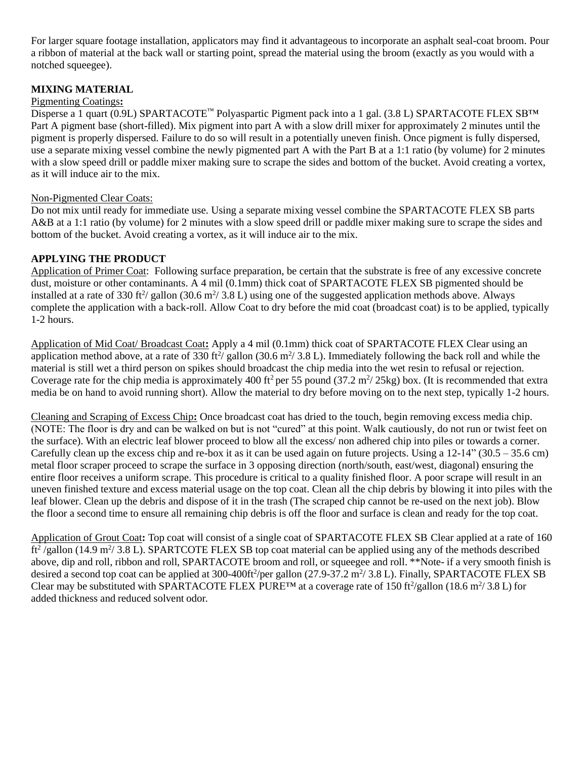For larger square footage installation, applicators may find it advantageous to incorporate an asphalt seal-coat broom. Pour a ribbon of material at the back wall or starting point, spread the material using the broom (exactly as you would with a notched squeegee).

#### **MIXING MATERIAL**

#### Pigmenting Coatings**:**

Disperse a 1 quart (0.9L) SPARTACOTE™ Polyaspartic Pigment pack into a 1 gal. (3.8 L) SPARTACOTE FLEX SB™ Part A pigment base (short-filled). Mix pigment into part A with a slow drill mixer for approximately 2 minutes until the pigment is properly dispersed. Failure to do so will result in a potentially uneven finish. Once pigment is fully dispersed, use a separate mixing vessel combine the newly pigmented part A with the Part B at a 1:1 ratio (by volume) for 2 minutes with a slow speed drill or paddle mixer making sure to scrape the sides and bottom of the bucket. Avoid creating a vortex, as it will induce air to the mix.

#### Non-Pigmented Clear Coats:

Do not mix until ready for immediate use. Using a separate mixing vessel combine the SPARTACOTE FLEX SB parts A&B at a 1:1 ratio (by volume) for 2 minutes with a slow speed drill or paddle mixer making sure to scrape the sides and bottom of the bucket. Avoid creating a vortex, as it will induce air to the mix.

#### **APPLYING THE PRODUCT**

Application of Primer Coat: Following surface preparation, be certain that the substrate is free of any excessive concrete dust, moisture or other contaminants. A 4 mil (0.1mm) thick coat of SPARTACOTE FLEX SB pigmented should be installed at a rate of 330 ft<sup>2</sup>/ gallon (30.6 m<sup>2</sup>/ 3.8 L) using one of the suggested application methods above. Always complete the application with a back-roll. Allow Coat to dry before the mid coat (broadcast coat) is to be applied, typically 1-2 hours.

Application of Mid Coat/ Broadcast Coat**:** Apply a 4 mil (0.1mm) thick coat of SPARTACOTE FLEX Clear using an application method above, at a rate of 330 ft<sup>2</sup>/ gallon (30.6 m<sup>2</sup>/ 3.8 L). Immediately following the back roll and while the material is still wet a third person on spikes should broadcast the chip media into the wet resin to refusal or rejection. Coverage rate for the chip media is approximately 400 ft<sup>2</sup> per 55 pound (37.2 m<sup>2</sup>/25kg) box. (It is recommended that extra media be on hand to avoid running short). Allow the material to dry before moving on to the next step, typically 1-2 hours.

Cleaning and Scraping of Excess Chip**:** Once broadcast coat has dried to the touch, begin removing excess media chip. (NOTE: The floor is dry and can be walked on but is not "cured" at this point. Walk cautiously, do not run or twist feet on the surface). With an electric leaf blower proceed to blow all the excess/ non adhered chip into piles or towards a corner. Carefully clean up the excess chip and re-box it as it can be used again on future projects. Using a  $12-14$ " (30.5 – 35.6 cm) metal floor scraper proceed to scrape the surface in 3 opposing direction (north/south, east/west, diagonal) ensuring the entire floor receives a uniform scrape. This procedure is critical to a quality finished floor. A poor scrape will result in an uneven finished texture and excess material usage on the top coat. Clean all the chip debris by blowing it into piles with the leaf blower. Clean up the debris and dispose of it in the trash (The scraped chip cannot be re-used on the next job). Blow the floor a second time to ensure all remaining chip debris is off the floor and surface is clean and ready for the top coat.

Application of Grout Coat**:** Top coat will consist of a single coat of SPARTACOTE FLEX SB Clear applied at a rate of 160  $ft^2$ /gallon (14.9 m<sup>2</sup>/3.8 L). SPARTCOTE FLEX SB top coat material can be applied using any of the methods described above, dip and roll, ribbon and roll, SPARTACOTE broom and roll, or squeegee and roll. \*\*Note- if a very smooth finish is desired a second top coat can be applied at 300-400ft<sup>2</sup>/per gallon (27.9-37.2 m<sup>2</sup>/3.8 L). Finally, SPARTACOTE FLEX SB Clear may be substituted with SPARTACOTE FLEX PURE<sup>TM</sup> at a coverage rate of 150 ft<sup>2</sup>/gallon (18.6 m<sup>2</sup>/3.8 L) for added thickness and reduced solvent odor.